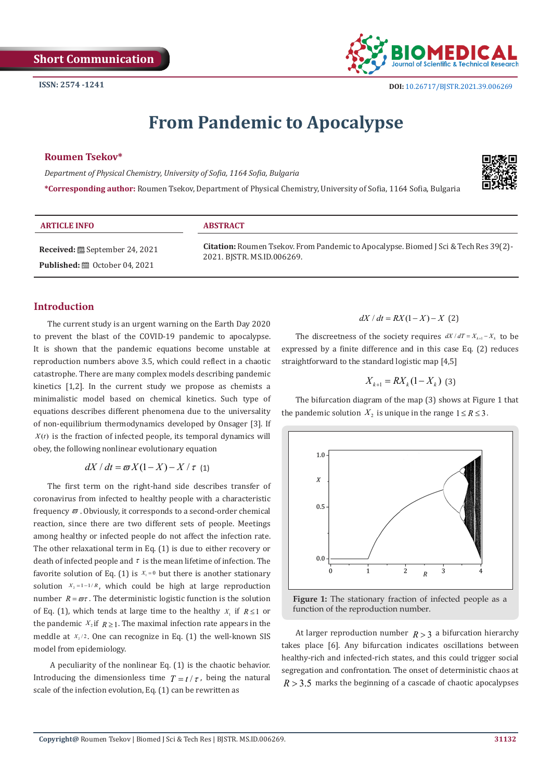

# **From Pandemic to Apocalypse**

## **Roumen Tsekov\***

*Department of Physical Chemistry, University of Sofia, 1164 Sofia, Bulgaria*

**\*Corresponding author:** Roumen Tsekov, Department of Physical Chemistry, University of Sofia, 1164 Sofia, Bulgaria



| <b>ARTICLE INFO</b>                             | <b>ABSTRACT</b>                                                                                                           |
|-------------------------------------------------|---------------------------------------------------------------------------------------------------------------------------|
| <b>Received:</b> ■ September 24, 2021           | <b>Citation:</b> Roumen Tsekov. From Pandemic to Apocalypse. Biomed J Sci & Tech Res 39(2)-<br>2021. BISTR. MS.ID.006269. |
| <b>Published:</b> $\mathbf{m}$ October 04, 2021 |                                                                                                                           |

# **Introduction**

The current study is an urgent warning on the Earth Day 2020 to prevent the blast of the COVID-19 pandemic to apocalypse. It is shown that the pandemic equations become unstable at reproduction numbers above 3.5, which could reflect in a chaotic catastrophe. There are many complex models describing pandemic kinetics [1,2]. In the current study we propose as chemists a minimalistic model based on chemical kinetics. Such type of equations describes different phenomena due to the universality of non-equilibrium thermodynamics developed by Onsager [3]. If  $X(t)$  is the fraction of infected people, its temporal dynamics will obey, the following nonlinear evolutionary equation

 $dX/dt = \varpi X(1-X) - X/\tau$  (1)

The first term on the right-hand side describes transfer of coronavirus from infected to healthy people with a characteristic frequency  $\varpi$  . Obviously, it corresponds to a second-order chemical reaction, since there are two different sets of people. Meetings among healthy or infected people do not affect the infection rate. The other relaxational term in Eq. (1) is due to either recovery or death of infected people and  $\tau$  is the mean lifetime of infection. The favorite solution of Eq. (1) is  $X_1 = 0$  but there is another stationary solution  $X_2 = 1 - 1/R$ , which could be high at large reproduction number  $R = \varpi \tau$ . The deterministic logistic function is the solution of Eq. (1), which tends at large time to the healthy  $X_1$  if  $R \leq 1$  or the pandemic  $X_2$  if  $R \geq 1$ . The maximal infection rate appears in the meddle at  $x_2/2$ . One can recognize in Eq. (1) the well-known SIS model from epidemiology.

 A peculiarity of the nonlinear Eq. (1) is the chaotic behavior. Introducing the dimensionless time  $T = t / \tau$ , being the natural scale of the infection evolution, Eq. (1) can be rewritten as

# $dX / dt = RX(1 - X) - X$  (2)

The discreetness of the society requires  $dX/dT = X_{k+1} - X_k$  to be expressed by a finite difference and in this case Eq. (2) reduces straightforward to the standard logistic map [4,5]

$$
X_{k+1} = RX_k (1 - X_k) \tag{3}
$$

The bifurcation diagram of the map (3) shows at Figure 1 that the pandemic solution  $X_2$  is unique in the range  $1 \leq R \leq 3$ .



**Figure 1:** The stationary fraction of infected people as a function of the reproduction number.

At larger reproduction number  $R > 3$  a bifurcation hierarchy takes place [6]. Any bifurcation indicates oscillations between healthy-rich and infected-rich states, and this could trigger social segregation and confrontation. The onset of deterministic chaos at  $R > 3.5$  marks the beginning of a cascade of chaotic apocalypses